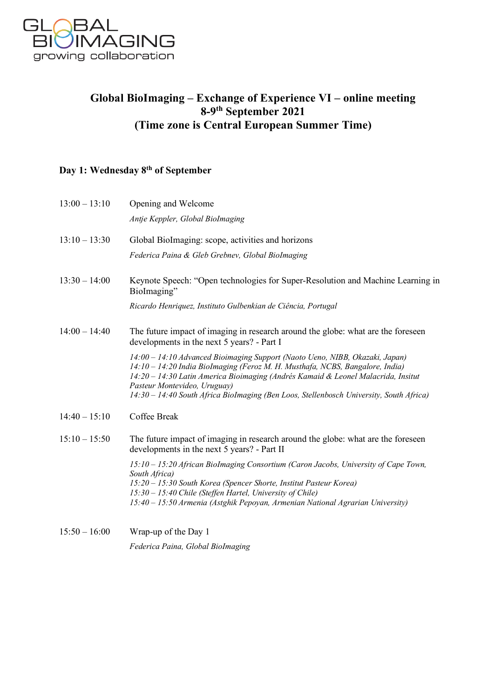

## **Global BioImaging – Exchange of Experience VI – online meeting 8-9th September 2021 (Time zone is Central European Summer Time)**

## **Day 1: Wednesday 8th of September**

| Antje Keppler, Global BioImaging<br>Global BioImaging: scope, activities and horizons<br>Federica Paina & Gleb Grebnev, Global BioImaging                                                                                                                                                                                                                                     |
|-------------------------------------------------------------------------------------------------------------------------------------------------------------------------------------------------------------------------------------------------------------------------------------------------------------------------------------------------------------------------------|
|                                                                                                                                                                                                                                                                                                                                                                               |
|                                                                                                                                                                                                                                                                                                                                                                               |
|                                                                                                                                                                                                                                                                                                                                                                               |
| Keynote Speech: "Open technologies for Super-Resolution and Machine Learning in<br>BioImaging"                                                                                                                                                                                                                                                                                |
| Ricardo Henriquez, Instituto Gulbenkian de Ciência, Portugal                                                                                                                                                                                                                                                                                                                  |
| The future impact of imaging in research around the globe: what are the foreseen<br>developments in the next 5 years? - Part I                                                                                                                                                                                                                                                |
| 14:00 - 14:10 Advanced Bioimaging Support (Naoto Ueno, NIBB, Okazaki, Japan)<br>14:10 - 14:20 India BioImaging (Feroz M. H. Musthafa, NCBS, Bangalore, India)<br>14:20 - 14:30 Latin America Bioimaging (Andrés Kamaid & Leonel Malacrida, Insitut<br>Pasteur Montevideo, Uruguay)<br>14:30 - 14:40 South Africa BioImaging (Ben Loos, Stellenbosch University, South Africa) |
| Coffee Break                                                                                                                                                                                                                                                                                                                                                                  |
| The future impact of imaging in research around the globe: what are the foreseen<br>developments in the next 5 years? - Part II                                                                                                                                                                                                                                               |
| 15:10 - 15:20 African BioImaging Consortium (Caron Jacobs, University of Cape Town,<br>South Africa)<br>15:20 - 15:30 South Korea (Spencer Shorte, Institut Pasteur Korea)<br>15:30 - 15:40 Chile (Steffen Hartel, University of Chile)                                                                                                                                       |
|                                                                                                                                                                                                                                                                                                                                                                               |

15:50 – 16:00 Wrap-up of the Day 1 *Federica Paina, Global BioImaging*